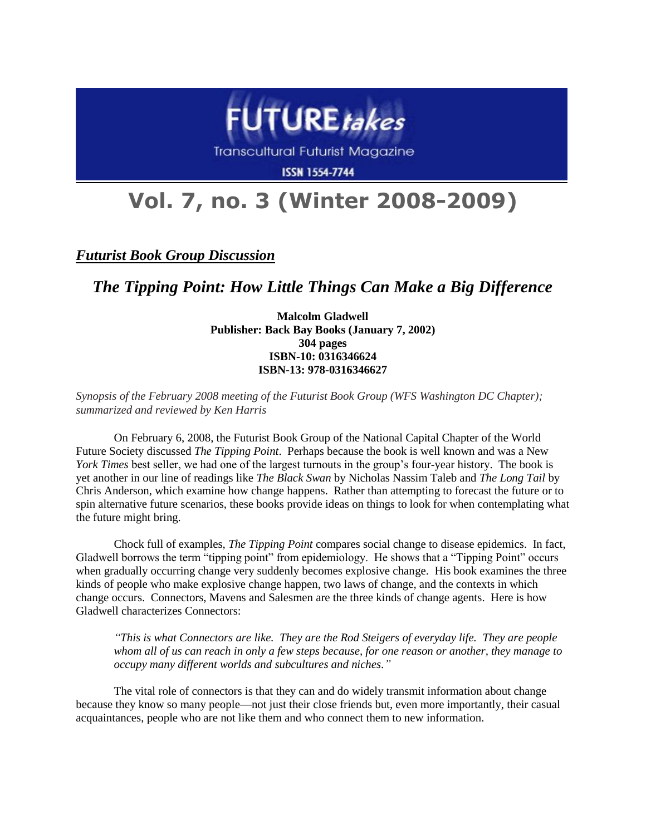

**Transcultural Futurist Magazine** 

**ISSN 1554-7744** 

## **Vol. 7, no. 3 (Winter 2008-2009)**

*Futurist Book Group Discussion*

*The Tipping Point: How Little Things Can Make a Big Difference*

**Malcolm Gladwell Publisher: Back Bay Books (January 7, 2002) 304 pages ISBN-10: 0316346624 ISBN-13: 978-0316346627**

*Synopsis of the February 2008 meeting of the Futurist Book Group (WFS Washington DC Chapter); summarized and reviewed by Ken Harris*

On February 6, 2008, the Futurist Book Group of the National Capital Chapter of the World Future Society discussed *The Tipping Point*. Perhaps because the book is well known and was a New *York Times* best seller, we had one of the largest turnouts in the group's four-year history. The book is yet another in our line of readings like *The Black Swan* by Nicholas Nassim Taleb and *The Long Tail* by Chris Anderson, which examine how change happens. Rather than attempting to forecast the future or to spin alternative future scenarios, these books provide ideas on things to look for when contemplating what the future might bring.

Chock full of examples, *The Tipping Point* compares social change to disease epidemics. In fact, Gladwell borrows the term "tipping point" from epidemiology. He shows that a "Tipping Point" occurs when gradually occurring change very suddenly becomes explosive change. His book examines the three kinds of people who make explosive change happen, two laws of change, and the contexts in which change occurs. Connectors, Mavens and Salesmen are the three kinds of change agents. Here is how Gladwell characterizes Connectors:

*"This is what Connectors are like. They are the Rod Steigers of everyday life. They are people whom all of us can reach in only a few steps because, for one reason or another, they manage to occupy many different worlds and subcultures and niches."*

The vital role of connectors is that they can and do widely transmit information about change because they know so many people—not just their close friends but, even more importantly, their casual acquaintances, people who are not like them and who connect them to new information.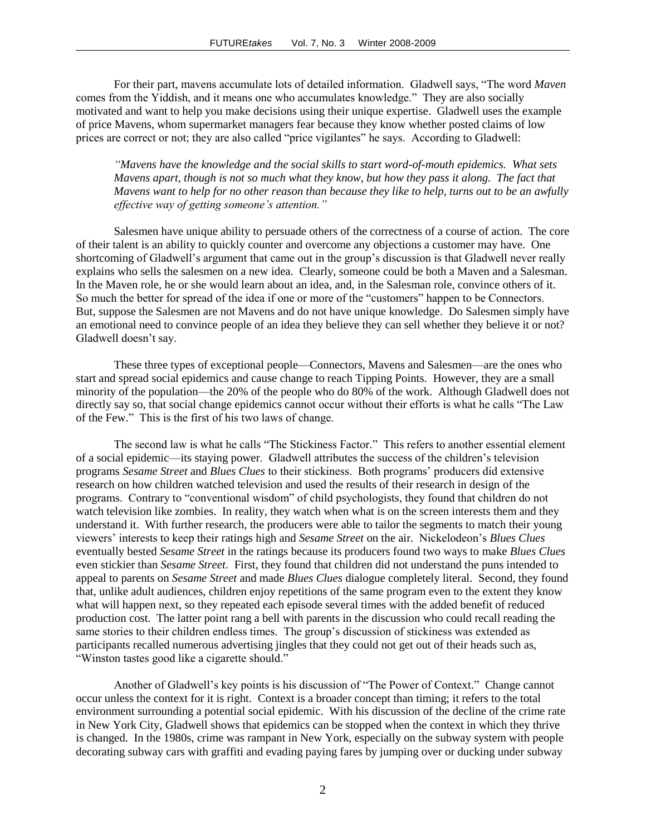For their part, mavens accumulate lots of detailed information. Gladwell says, "The word *Maven* comes from the Yiddish, and it means one who accumulates knowledge." They are also socially motivated and want to help you make decisions using their unique expertise. Gladwell uses the example of price Mavens, whom supermarket managers fear because they know whether posted claims of low prices are correct or not; they are also called "price vigilantes" he says. According to Gladwell:

*"Mavens have the knowledge and the social skills to start word-of-mouth epidemics. What sets Mavens apart, though is not so much what they know, but how they pass it along. The fact that Mavens want to help for no other reason than because they like to help, turns out to be an awfully effective way of getting someone's attention."*

Salesmen have unique ability to persuade others of the correctness of a course of action. The core of their talent is an ability to quickly counter and overcome any objections a customer may have. One shortcoming of Gladwell's argument that came out in the group's discussion is that Gladwell never really explains who sells the salesmen on a new idea. Clearly, someone could be both a Maven and a Salesman. In the Maven role, he or she would learn about an idea, and, in the Salesman role, convince others of it. So much the better for spread of the idea if one or more of the "customers" happen to be Connectors. But, suppose the Salesmen are not Mavens and do not have unique knowledge. Do Salesmen simply have an emotional need to convince people of an idea they believe they can sell whether they believe it or not? Gladwell doesn't say.

These three types of exceptional people—Connectors, Mavens and Salesmen—are the ones who start and spread social epidemics and cause change to reach Tipping Points. However, they are a small minority of the population—the 20% of the people who do 80% of the work. Although Gladwell does not directly say so, that social change epidemics cannot occur without their efforts is what he calls "The Law of the Few." This is the first of his two laws of change.

The second law is what he calls "The Stickiness Factor." This refers to another essential element of a social epidemic—its staying power. Gladwell attributes the success of the children's television programs *Sesame Street* and *Blues Clues* to their stickiness. Both programs' producers did extensive research on how children watched television and used the results of their research in design of the programs. Contrary to "conventional wisdom" of child psychologists, they found that children do not watch television like zombies. In reality, they watch when what is on the screen interests them and they understand it. With further research, the producers were able to tailor the segments to match their young viewers' interests to keep their ratings high and *Sesame Street* on the air. Nickelodeon's *Blues Clues*  eventually bested *Sesame Street* in the ratings because its producers found two ways to make *Blues Clues* even stickier than *Sesame Street*. First, they found that children did not understand the puns intended to appeal to parents on *Sesame Street* and made *Blues Clues* dialogue completely literal. Second, they found that, unlike adult audiences, children enjoy repetitions of the same program even to the extent they know what will happen next, so they repeated each episode several times with the added benefit of reduced production cost. The latter point rang a bell with parents in the discussion who could recall reading the same stories to their children endless times. The group's discussion of stickiness was extended as participants recalled numerous advertising jingles that they could not get out of their heads such as, "Winston tastes good like a cigarette should."

Another of Gladwell's key points is his discussion of "The Power of Context." Change cannot occur unless the context for it is right. Context is a broader concept than timing; it refers to the total environment surrounding a potential social epidemic. With his discussion of the decline of the crime rate in New York City, Gladwell shows that epidemics can be stopped when the context in which they thrive is changed. In the 1980s, crime was rampant in New York, especially on the subway system with people decorating subway cars with graffiti and evading paying fares by jumping over or ducking under subway